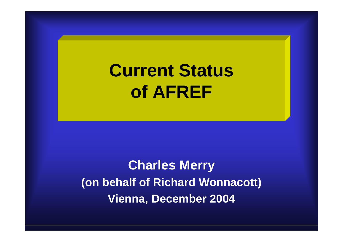# **Current Status of AFREF**

**Charles Merry (on behalf of Richard Wonnacott) Vienna, December 2004**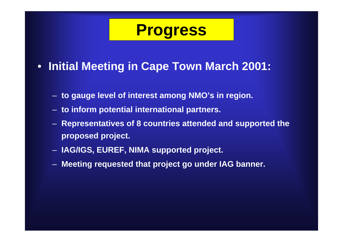### **Progress**

- **Initial Meeting in Cape Town March 2001:**
	- **to gauge level of interest among NMO's in region.**
	- **to inform potential international partners.**
	- **Representatives of 8 countries attended and supported the proposed project.**
	- **IAG/IGS, EUREF, NIMA supported project.**
	- **Meeting requested that project go under IAG banner.**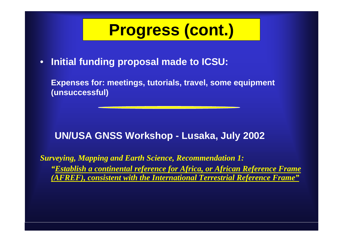•**Initial funding proposal made to ICSU:**

**Expenses for: meetings, tutorials, travel, some equipment (unsuccessful)**

#### **UN/USA GNSS Workshop - Lusaka, July 2002**

*Surveying, Mapping and Earth Science, Recommendation 1: "Establish a continental reference for Africa, or African Reference Frame (AFREF), consistent with the International Terrestrial Reference Frame"*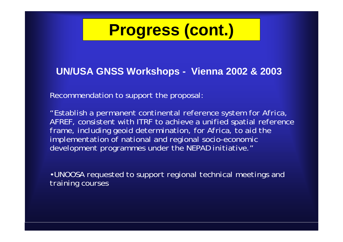#### **UN/USA GNSS Workshops - Vienna 2002 & 2003**

Recommendation to support the proposal:

*"Establish a permanent continental reference system for Africa, AFREF, consistent with ITRF to achieve a unified spatial reference frame, including geoid determination, for Africa, to aid the implementation of national and regional socio-economic development programmes under the NEPAD initiative."*

•*UNOOSA requested to support regional technical meetings and training courses*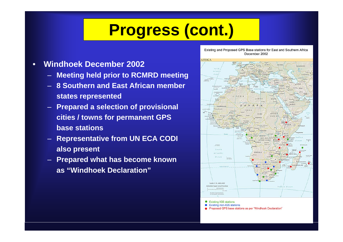- • **Windhoek December 2002**
	- **Meeting held prior to RCMRD meeting**
	- **8 Southern and East African member states represented**
	- **Prepared a selection of provisional cities / towns for permanent GPS base stations**
	- **Representative from UN ECA CODI also present**
	- **Prepared what has become known as "Windhoek Declaration"**

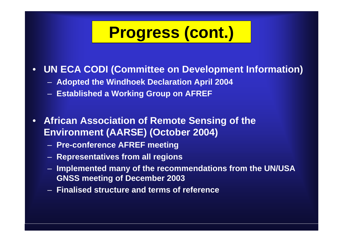#### $\bullet$ **UN ECA CODI (Committee on Development Information)**

- **Adopted the Windhoek Declaration April 2004**
- **Established a Working Group on AFREF**
- $\bullet$  **African Association of Remote Sensing of the Environment (AARSE) (October 2004)**
	- **Pre-conference AFREF meeting**
	- **Representatives from all regions**
	- $\longrightarrow$  **Implemented many of the recommendations from the UN/USA GNSS meeting of December 2003**
	- **Finalised structure and terms of reference**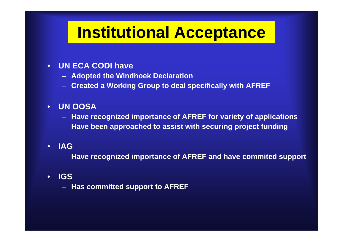# **Institutional Acceptance**

- • **UN ECA CODI have** 
	- **Adopted the Windhoek Declaration**
	- **Created a Working Group to deal specifically with AFREF**

#### $\bullet$ **UN OOSA**

- **Have recognized importance of AFREF for variety of applications**
- **Have been approached to assist with securing project funding**

#### •**IAG**

- **Have recognized importance of AFREF and have commited support**
- • **IGS** 
	- **Has committed support to AFREF**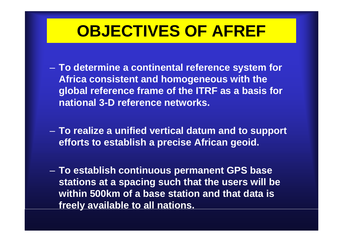### **OBJECTIVES OF AFREF**

- – **To determine a continental reference system for Africa consistent and homogeneous with the global reference frame of the ITRF as a basis for national 3-D reference networks.**
- – **To realize a unified vertical datum and to support efforts to establish a precise African geoid.**
- – **To establish continuous permanent GPS base stations at a spacing such that the users will be within 500km of a base station and that data is freely available to all nations.**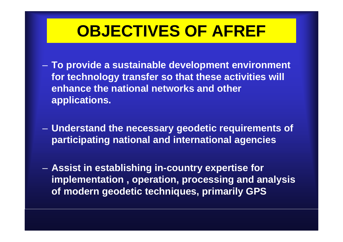## **OBJECTIVES OF AFREF**

- – **To provide a sustainable development environment for technology transfer so that these activities will enhance the national networks and other applications.**
- – **Understand the necessary geodetic requirements of participating national and international agencies**
- – **Assist in establishing in-country expertise for implementation , operation, processing and analysis of modern geodetic techniques, primarily GPS**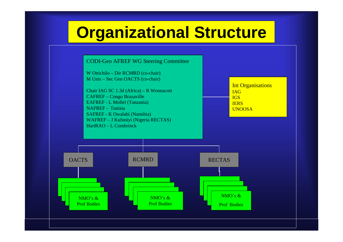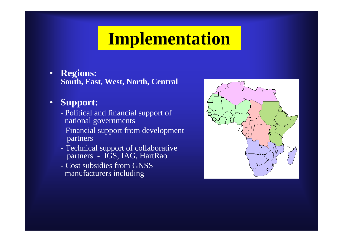# **Implementation**

• **Regions: South, East, West, North, Central**

#### $\bullet$ **Support:**

- Political and financial support of national governments
- Financial support from development partners
- Technical support of collaborative partners - IGS, IAG, HartRao
- Cost subsidies from GNSS manufacturers including